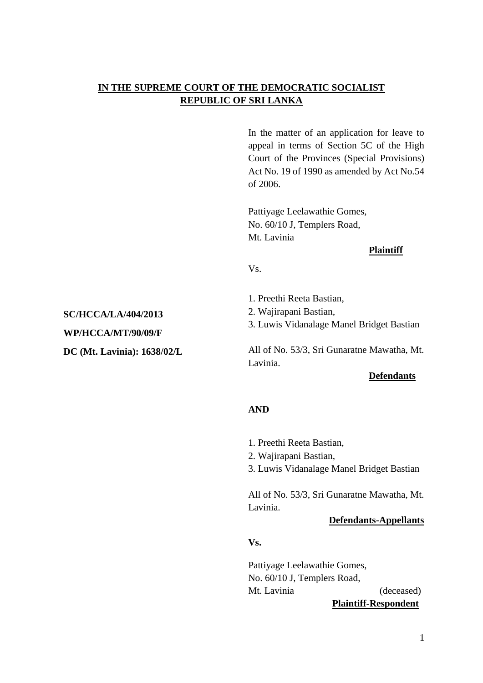# **IN THE SUPREME COURT OF THE DEMOCRATIC SOCIALIST REPUBLIC OF SRI LANKA**

In the matter of an application for leave to appeal in terms of Section 5C of the High Court of the Provinces (Special Provisions) Act No. 19 of 1990 as amended by Act No.54 of 2006.

Pattiyage Leelawathie Gomes, No. 60/10 J, Templers Road, Mt. Lavinia

#### **Plaintiff**

Vs.

- 1. Preethi Reeta Bastian,
- 2. Wajirapani Bastian,

3. Luwis Vidanalage Manel Bridget Bastian

All of No. 53/3, Sri Gunaratne Mawatha, Mt. Lavinia.

#### **Defendants**

#### **AND**

- 1. Preethi Reeta Bastian,
- 2. Wajirapani Bastian,
- 3. Luwis Vidanalage Manel Bridget Bastian

All of No. 53/3, Sri Gunaratne Mawatha, Mt. Lavinia.

#### **Defendants-Appellants**

**Vs.**

Pattiyage Leelawathie Gomes, No. 60/10 J, Templers Road, Mt. Lavinia (deceased) **Plaintiff-Respondent**

# **SC/HCCA/LA/404/2013**

**WP/HCCA/MT/90/09/F**

### **DC (Mt. Lavinia): 1638/02/L**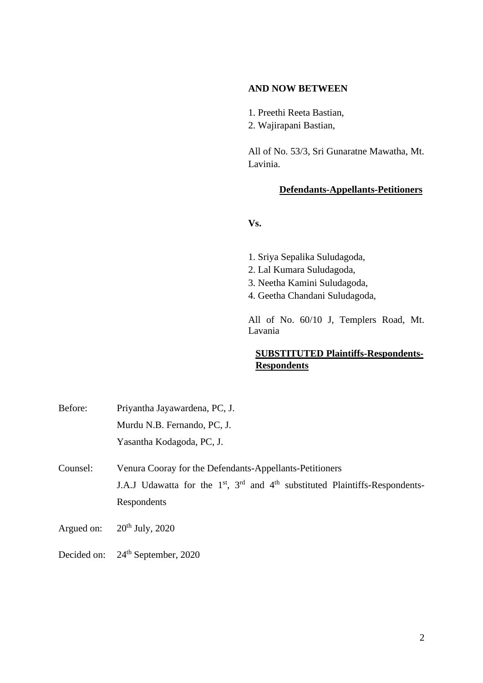#### **AND NOW BETWEEN**

- 1. Preethi Reeta Bastian,
- 2. Wajirapani Bastian,

All of No. 53/3, Sri Gunaratne Mawatha, Mt. Lavinia.

#### **Defendants-Appellants-Petitioners**

**Vs.**

- 1. Sriya Sepalika Suludagoda,
- 2. Lal Kumara Suludagoda,
- 3. Neetha Kamini Suludagoda,
- 4. Geetha Chandani Suludagoda,

All of No. 60/10 J, Templers Road, Mt. Lavania

# **SUBSTITUTED Plaintiffs-Respondents-Respondents**

| Before:  | Priyantha Jayawardena, PC, J.                                                      |
|----------|------------------------------------------------------------------------------------|
|          | Murdu N.B. Fernando, PC, J.                                                        |
|          | Yasantha Kodagoda, PC, J.                                                          |
| Counsel: | Venura Cooray for the Defendants-Appellants-Petitioners                            |
|          | J.A.J Udawatta for the $1st$ , $3rd$ and $4th$ substituted Plaintiffs-Respondents- |

- 
- Argued on:  $20<sup>th</sup>$  July, 2020
- Decided on: 24<sup>th</sup> September, 2020

Respondents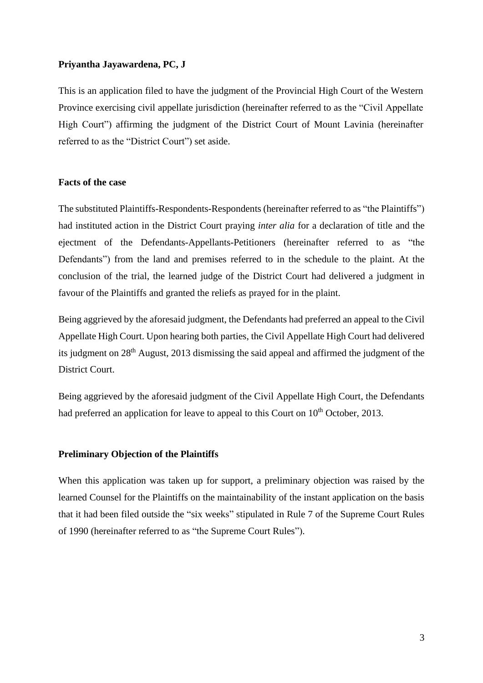#### **Priyantha Jayawardena, PC, J**

This is an application filed to have the judgment of the Provincial High Court of the Western Province exercising civil appellate jurisdiction (hereinafter referred to as the "Civil Appellate High Court") affirming the judgment of the District Court of Mount Lavinia (hereinafter referred to as the "District Court") set aside.

#### **Facts of the case**

The substituted Plaintiffs-Respondents-Respondents (hereinafter referred to as "the Plaintiffs") had instituted action in the District Court praying *inter alia* for a declaration of title and the ejectment of the Defendants-Appellants-Petitioners (hereinafter referred to as "the Defendants") from the land and premises referred to in the schedule to the plaint. At the conclusion of the trial, the learned judge of the District Court had delivered a judgment in favour of the Plaintiffs and granted the reliefs as prayed for in the plaint.

Being aggrieved by the aforesaid judgment, the Defendants had preferred an appeal to the Civil Appellate High Court. Upon hearing both parties, the Civil Appellate High Court had delivered its judgment on 28th August, 2013 dismissing the said appeal and affirmed the judgment of the District Court.

Being aggrieved by the aforesaid judgment of the Civil Appellate High Court, the Defendants had preferred an application for leave to appeal to this Court on  $10<sup>th</sup>$  October, 2013.

#### **Preliminary Objection of the Plaintiffs**

When this application was taken up for support, a preliminary objection was raised by the learned Counsel for the Plaintiffs on the maintainability of the instant application on the basis that it had been filed outside the "six weeks" stipulated in Rule 7 of the Supreme Court Rules of 1990 (hereinafter referred to as "the Supreme Court Rules").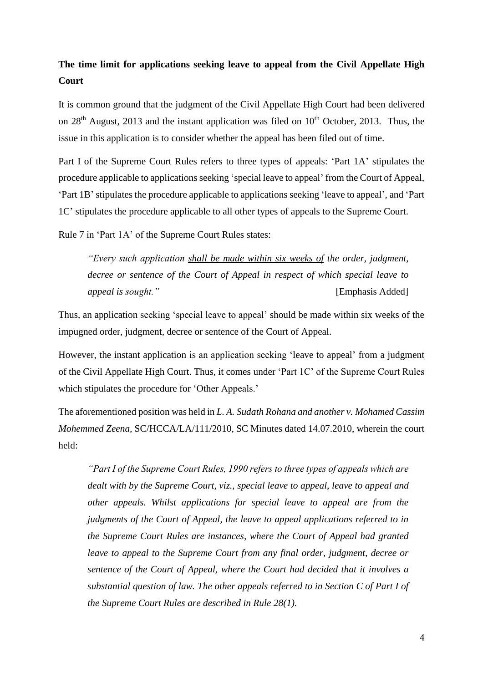# **The time limit for applications seeking leave to appeal from the Civil Appellate High Court**

It is common ground that the judgment of the Civil Appellate High Court had been delivered on  $28<sup>th</sup>$  August, 2013 and the instant application was filed on  $10<sup>th</sup>$  October, 2013. Thus, the issue in this application is to consider whether the appeal has been filed out of time.

Part I of the Supreme Court Rules refers to three types of appeals: 'Part 1A' stipulates the procedure applicable to applications seeking 'special leave to appeal' from the Court of Appeal, 'Part 1B' stipulates the procedure applicable to applications seeking 'leave to appeal', and 'Part 1C' stipulates the procedure applicable to all other types of appeals to the Supreme Court.

Rule 7 in 'Part 1A' of the Supreme Court Rules states:

*"Every such application shall be made within six weeks of the order, judgment, decree or sentence of the Court of Appeal in respect of which special leave to appeal is sought."* [Emphasis Added]

Thus, an application seeking 'special leave to appeal' should be made within six weeks of the impugned order, judgment, decree or sentence of the Court of Appeal.

However, the instant application is an application seeking 'leave to appeal' from a judgment of the Civil Appellate High Court. Thus, it comes under 'Part 1C' of the Supreme Court Rules which stipulates the procedure for 'Other Appeals.'

The aforementioned position was held in *L. A. Sudath Rohana and another v. Mohamed Cassim Mohemmed Zeena,* SC/HCCA/LA/111/2010, SC Minutes dated 14.07.2010, wherein the court held:

*"Part I of the Supreme Court Rules, 1990 refers to three types of appeals which are dealt with by the Supreme Court, viz., special leave to appeal, leave to appeal and other appeals. Whilst applications for special leave to appeal are from the judgments of the Court of Appeal, the leave to appeal applications referred to in the Supreme Court Rules are instances, where the Court of Appeal had granted leave to appeal to the Supreme Court from any final order, judgment, decree or sentence of the Court of Appeal, where the Court had decided that it involves a substantial question of law. The other appeals referred to in Section C of Part I of the Supreme Court Rules are described in Rule 28(1).*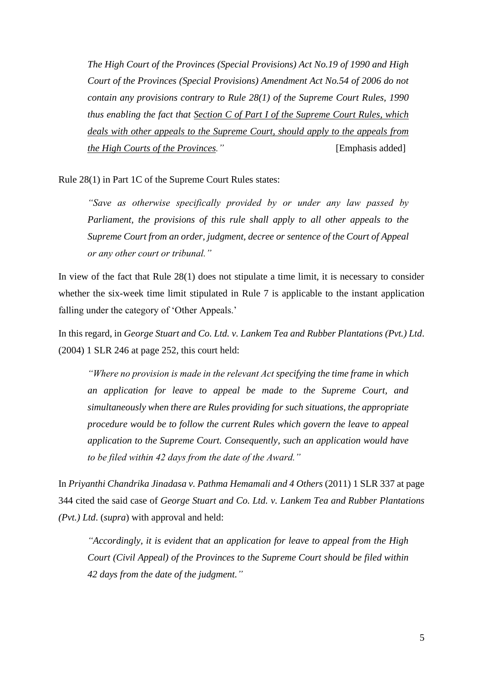*The High Court of the Provinces (Special Provisions) Act No.19 of 1990 and High Court of the Provinces (Special Provisions) Amendment Act No.54 of 2006 do not contain any provisions contrary to Rule 28(1) of the Supreme Court Rules, 1990 thus enabling the fact that Section C of Part I of the Supreme Court Rules, which deals with other appeals to the Supreme Court, should apply to the appeals from the High Courts of the Provinces.*" 
[Emphasis added]

Rule 28(1) in Part 1C of the Supreme Court Rules states:

*"Save as otherwise specifically provided by or under any law passed by Parliament, the provisions of this rule shall apply to all other appeals to the Supreme Court from an order, judgment, decree or sentence of the Court of Appeal or any other court or tribunal."*

In view of the fact that Rule 28(1) does not stipulate a time limit, it is necessary to consider whether the six-week time limit stipulated in Rule 7 is applicable to the instant application falling under the category of 'Other Appeals.'

In this regard, in *George Stuart and Co. Ltd. v. Lankem Tea and Rubber Plantations (Pvt.) Ltd*. (2004) 1 SLR 246 at page 252, this court held:

*"Where no provision is made in the relevant Act specifying the time frame in which an application for leave to appeal be made to the Supreme Court, and simultaneously when there are Rules providing for such situations, the appropriate procedure would be to follow the current Rules which govern the leave to appeal application to the Supreme Court. Consequently, such an application would have to be filed within 42 days from the date of the Award."*

In *Priyanthi Chandrika Jinadasa v. Pathma Hemamali and 4 Others* (2011) 1 SLR 337 at page 344 cited the said case of *George Stuart and Co. Ltd. v. Lankem Tea and Rubber Plantations (Pvt.) Ltd*. (*supra*) with approval and held:

*"Accordingly, it is evident that an application for leave to appeal from the High Court (Civil Appeal) of the Provinces to the Supreme Court should be filed within 42 days from the date of the judgment."*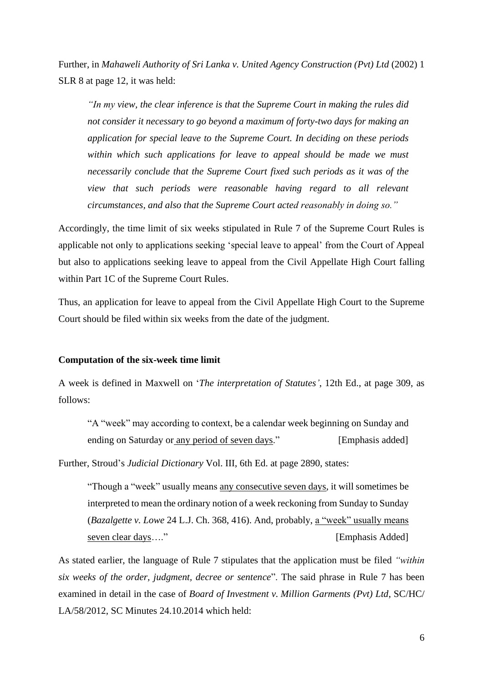Further, in *Mahaweli Authority of Sri Lanka v. United Agency Construction (Pvt) Ltd* (2002) 1 SLR 8 at page 12, it was held:

*"In my view, the clear inference is that the Supreme Court in making the rules did not consider it necessary to go beyond a maximum of forty-two days for making an application for special leave to the Supreme Court. In deciding on these periods within which such applications for leave to appeal should be made we must necessarily conclude that the Supreme Court fixed such periods as it was of the view that such periods were reasonable having regard to all relevant circumstances, and also that the Supreme Court acted reasonably in doing so."*

Accordingly, the time limit of six weeks stipulated in Rule 7 of the Supreme Court Rules is applicable not only to applications seeking 'special leave to appeal' from the Court of Appeal but also to applications seeking leave to appeal from the Civil Appellate High Court falling within Part 1C of the Supreme Court Rules.

Thus, an application for leave to appeal from the Civil Appellate High Court to the Supreme Court should be filed within six weeks from the date of the judgment.

#### **Computation of the six-week time limit**

A week is defined in Maxwell on '*The interpretation of Statutes'*, 12th Ed., at page 309, as follows:

"A "week" may according to context, be a calendar week beginning on Sunday and ending on Saturday or any period of seven days." [Emphasis added]

Further, Stroud's *Judicial Dictionary* Vol. III, 6th Ed. at page 2890, states:

"Though a "week" usually means any consecutive seven days, it will sometimes be interpreted to mean the ordinary notion of a week reckoning from Sunday to Sunday (*Bazalgette v. Lowe* 24 L.J. Ch. 368, 416). And, probably, a "week" usually means seven clear days…." The contract of the contract of the contract of the contract of the contract of the contract of the contract of the contract of the contract of the contract of the contract of the contract of the contra

As stated earlier, the language of Rule 7 stipulates that the application must be filed *"within six weeks of the order, judgment, decree or sentence*". The said phrase in Rule 7 has been examined in detail in the case of *Board of Investment v. Million Garments (Pvt) Ltd*, SC/HC/ LA/58/2012, SC Minutes 24.10.2014 which held: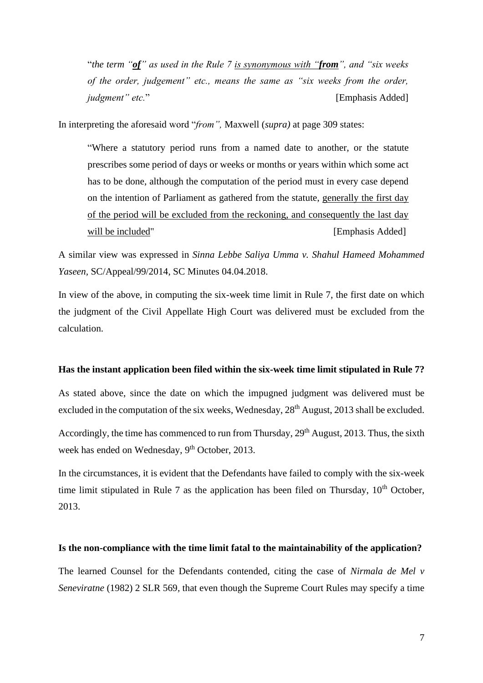"*the term "of" as used in the Rule 7 is synonymous with "from", and "six weeks of the order, judgement" etc., means the same as "six weeks from the order, judgment" etc.*" [Emphasis Added]

In interpreting the aforesaid word "*from",* Maxwell (*supra)* at page 309 states:

"Where a statutory period runs from a named date to another, or the statute prescribes some period of days or weeks or months or years within which some act has to be done, although the computation of the period must in every case depend on the intention of Parliament as gathered from the statute, generally the first day of the period will be excluded from the reckoning, and consequently the last day will be included" [Emphasis Added]

A similar view was expressed in *Sinna Lebbe Saliya Umma v. Shahul Hameed Mohammed Yaseen,* SC/Appeal/99/2014, SC Minutes 04.04.2018.

In view of the above, in computing the six-week time limit in Rule 7, the first date on which the judgment of the Civil Appellate High Court was delivered must be excluded from the calculation.

#### **Has the instant application been filed within the six-week time limit stipulated in Rule 7?**

As stated above, since the date on which the impugned judgment was delivered must be excluded in the computation of the six weeks, Wednesday, 28<sup>th</sup> August, 2013 shall be excluded.

Accordingly, the time has commenced to run from Thursday, 29<sup>th</sup> August, 2013. Thus, the sixth week has ended on Wednesday, 9<sup>th</sup> October, 2013.

In the circumstances, it is evident that the Defendants have failed to comply with the six-week time limit stipulated in Rule 7 as the application has been filed on Thursday,  $10<sup>th</sup>$  October, 2013.

#### **Is the non-compliance with the time limit fatal to the maintainability of the application?**

The learned Counsel for the Defendants contended, citing the case of *Nirmala de Mel v Seneviratne* (1982) 2 SLR 569*,* that even though the Supreme Court Rules may specify a time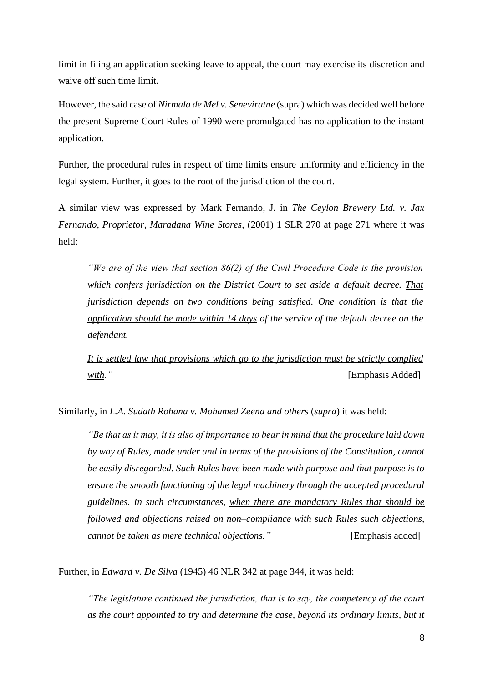limit in filing an application seeking leave to appeal, the court may exercise its discretion and waive off such time limit.

However, the said case of *Nirmala de Mel v. Seneviratne* (supra) which was decided well before the present Supreme Court Rules of 1990 were promulgated has no application to the instant application.

Further, the procedural rules in respect of time limits ensure uniformity and efficiency in the legal system. Further, it goes to the root of the jurisdiction of the court.

A similar view was expressed by Mark Fernando, J. in *The Ceylon Brewery Ltd. v. Jax Fernando, Proprietor, Maradana Wine Stores*, (2001) 1 SLR 270 at page 271 where it was held:

*"We are of the view that section 86(2) of the Civil Procedure Code is the provision which confers jurisdiction on the District Court to set aside a default decree. That jurisdiction depends on two conditions being satisfied. One condition is that the application should be made within 14 days of the service of the default decree on the defendant.*

*It is settled law that provisions which go to the jurisdiction must be strictly complied with."* [Emphasis Added]

Similarly, in *L.A. Sudath Rohana v. Mohamed Zeena and others* (*supra*) it was held:

*"Be that as it may, it is also of importance to bear in mind that the procedure laid down by way of Rules, made under and in terms of the provisions of the Constitution, cannot be easily disregarded. Such Rules have been made with purpose and that purpose is to ensure the smooth functioning of the legal machinery through the accepted procedural guidelines. In such circumstances, when there are mandatory Rules that should be followed and objections raised on non–compliance with such Rules such objections, cannot be taken as mere technical objections.*" [Emphasis added]

Further, in *Edward v. De Silva* (1945) 46 NLR 342 at page 344, it was held:

*"The legislature continued the jurisdiction, that is to say, the competency of the court as the court appointed to try and determine the case, beyond its ordinary limits, but it*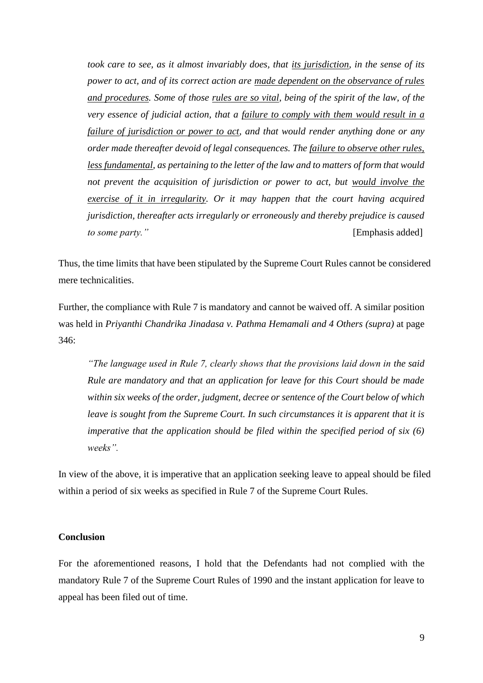*took care to see, as it almost invariably does, that its jurisdiction, in the sense of its power to act, and of its correct action are made dependent on the observance of rules and procedures. Some of those rules are so vital, being of the spirit of the law, of the very essence of judicial action, that a failure to comply with them would result in a failure of jurisdiction or power to act, and that would render anything done or any order made thereafter devoid of legal consequences. The failure to observe other rules, less fundamental, as pertaining to the letter of the law and to matters of form that would not prevent the acquisition of jurisdiction or power to act, but would involve the exercise of it in irregularity. Or it may happen that the court having acquired jurisdiction, thereafter acts irregularly or erroneously and thereby prejudice is caused to some party.*" [Emphasis added]

Thus, the time limits that have been stipulated by the Supreme Court Rules cannot be considered mere technicalities.

Further, the compliance with Rule 7 is mandatory and cannot be waived off. A similar position was held in *Priyanthi Chandrika Jinadasa v. Pathma Hemamali and 4 Others (supra)* at page 346:

*"The language used in Rule 7, clearly shows that the provisions laid down in the said Rule are mandatory and that an application for leave for this Court should be made within six weeks of the order, judgment, decree or sentence of the Court below of which leave is sought from the Supreme Court. In such circumstances it is apparent that it is imperative that the application should be filed within the specified period of six (6) weeks".*

In view of the above, it is imperative that an application seeking leave to appeal should be filed within a period of six weeks as specified in Rule 7 of the Supreme Court Rules.

#### **Conclusion**

For the aforementioned reasons, I hold that the Defendants had not complied with the mandatory Rule 7 of the Supreme Court Rules of 1990 and the instant application for leave to appeal has been filed out of time.